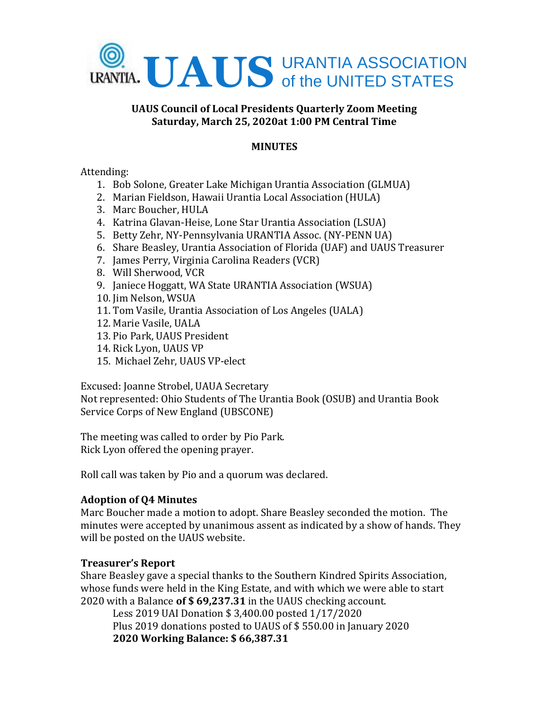

### **UAUS Council of Local Presidents Quarterly Zoom Meeting Saturday, March 25, 2020at 1:00 PM Central Time**

## **MINUTES**

### Attending:

- 1. Bob Solone, Greater Lake Michigan Urantia Association (GLMUA)
- 2. Marian Fieldson, Hawaii Urantia Local Association (HULA)
- 3. Marc Boucher, HULA
- 4. Katrina Glavan-Heise, Lone Star Urantia Association (LSUA)
- 5. Betty Zehr, NY-Pennsylvania URANTIA Assoc. (NY-PENN UA)
- 6. Share Beasley, Urantia Association of Florida (UAF) and UAUS Treasurer
- 7. James Perry, Virginia Carolina Readers (VCR)
- 8. Will Sherwood, VCR
- 9. Janiece Hoggatt, WA State URANTIA Association (WSUA)
- 10. Jim Nelson, WSUA
- 11. Tom Vasile, Urantia Association of Los Angeles (UALA)
- 12. Marie Vasile, UALA
- 13. Pio Park, UAUS President
- 14. Rick Lyon, UAUS VP
- 15. Michael Zehr, UAUS VP-elect

Excused: Joanne Strobel, UAUA Secretary

Not represented: Ohio Students of The Urantia Book (OSUB) and Urantia Book Service Corps of New England (UBSCONE)

The meeting was called to order by Pio Park. Rick Lyon offered the opening prayer.

Roll call was taken by Pio and a quorum was declared.

# **Adoption of Q4 Minutes**

Marc Boucher made a motion to adopt. Share Beasley seconded the motion. The minutes were accepted by unanimous assent as indicated by a show of hands. They will be posted on the UAUS website.

# **Treasurer's Report**

Share Beasley gave a special thanks to the Southern Kindred Spirits Association, whose funds were held in the King Estate, and with which we were able to start 2020 with a Balance **of \$ 69,237.31** in the UAUS checking account.

Less 2019 UAI Donation \$ 3,400.00 posted 1/17/2020 Plus 2019 donations posted to UAUS of \$ 550.00 in January 2020 **2020 Working Balance: \$ 66,387.31**